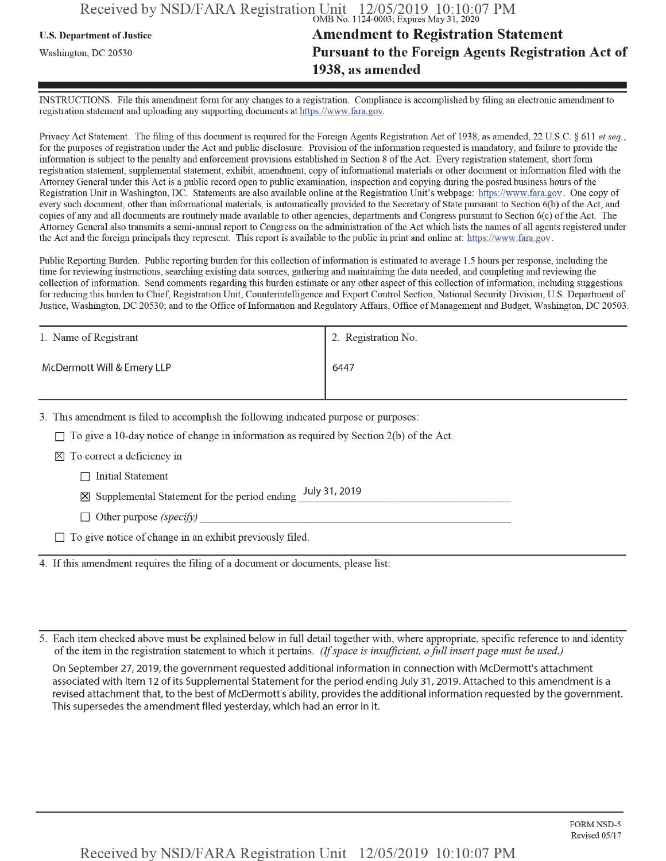#### Received by NSD/FARA Registration Unit **OMB No. 1124-0003; Expires May 31, 2020**

# U.S. Department ofJustice **Amendment to Registration Statement Washington, dc** <sup>20530</sup> **Pursuant to the Foreign Agents Registration Act of 1938, as amended**

INSTRUCTIONS. File this amendment form for any changes to a registration. Compliance is accomplished by filing an electronic amendment to **registration statement and uploading any supporting documents at https://www.fara.gov.**

Privacy Act Statement. The filing of this document is required for the Foreign Agents Registration Act of 1938, as amended, 22 U.S.C. § 611 et seq., for the purposes of registration under the Act and public disclosure. Provision of the information requested is mandatory, and failure to provide the information is subject to the penalty and enforcement provisions established in Section 8 of the Act. Every registration statement, short form registration statement, supplemental statement, exhibit, amendment, copy of informational materials or other document or information filed with the Attorney General under this Act is a public record open to public examination, inspection and copying during the posted business hours of the Registration Unit in Washington, DC. Statements are also available online at the Registration Unit's webpage: https://www.fara.gov. One copy of every such document, other than informational materials, is automatically provided to the Secretary of State pursuant to Section 6(b) of the Act, and copies of any and all documents are routinely made available to other agencies, departments and Congress pursuant to Section 6(c) of the Act. The Attorney General also transmits a semi-annual report to Congress on the administration of the Act which lists the names of all agents registered under the Act and the foreign principals they represent. This report is available to the public in print and online at: https://www.fara.gov.

Public Reporting Burden. Public reporting burden for this collection of information is estimated to average 1.5 hours per response, including the time for reviewing instructions, searching existing data sources, gathering and maintaining the data needed, and completing and reviewing the collection of information. Send comments regarding this burden estimate or any other aspect of this collection of information, including suggestions for reducing this burden to Chief, Registration Unit, Counterintelligence and Export Control Section, National Security Division, U.S. Department of Justice, Washington, DC 20530; and to the Office of Information and Regulatory Affairs, Office of Management and Budget, Washington, DC 20503.

| 1. Name of Registrant      | 1 2. Registration No. |
|----------------------------|-----------------------|
| McDermott Will & Emery LLP | 6447                  |
|                            |                       |

3. This amendment is filed to accomplish the following indicated purpose or purposes:

 $\Box$  To give a 10-day notice of change in information as required by Section 2(b) of the Act.

 $\boxtimes$  To correct a deficiency in

 $\Box$  Initial Statement

 $\boxtimes$  Supplemental Statement for the period ending July 31, 2019

Other purpose *(specify)*

 $\Box$  To give notice of change in an exhibit previously filed.

4. Ifthis amendment requires the filing of a document or documents, please list:

5. Each item checked above must be explained below in full detail together with, where appropriate, specific reference to and identity ofthe item in the registration statement to which it pertains. *(Ifspace is insufficient, afullinsertpage must be used.)*

On September 27, 2019, the government requested additional information in connection with McDermott's attachment associated with Item 12 of its Supplemental Statement for the period ending July 31, 2019. Attached to this amendment is a revised attachment that, to the best of McDermott's ability, provides the additional information requested by the government. This supersedes the amendment filed yesterday, which had an error in it.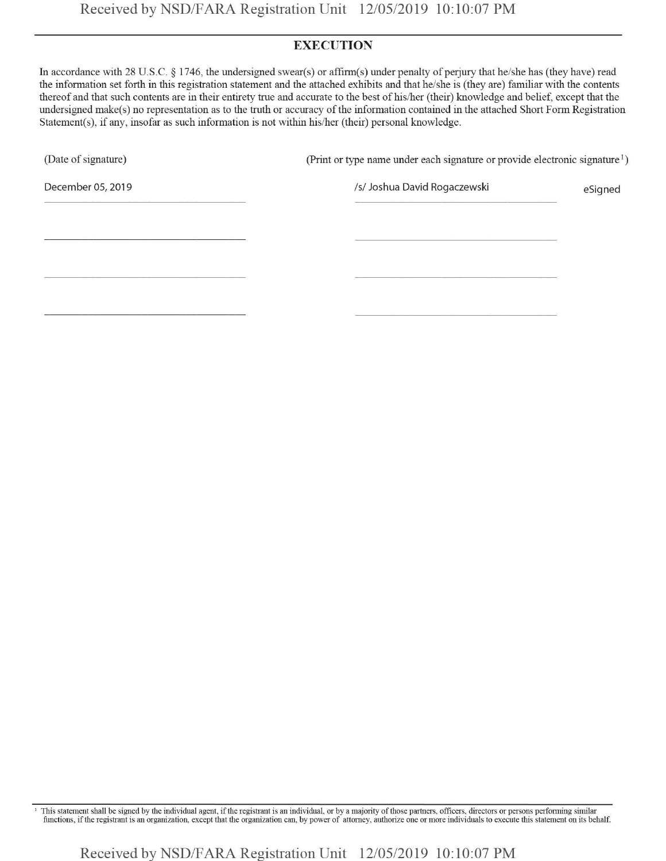#### **EXECUTION**

In accordance with 28 U.S.C. § 1746, the undersigned swear(s) or affirm(s) under penalty of perjury that he/she has (they have) read the information set forth in this registration statement and the attached exhibits and that he/she is (they are) familiar with the contents thereof and that such contents are in their entirety true and accurate to the best of his/her (their) knowledge and belief, except that the undersigned make(s) no representation as to the truth or accuracy ofthe information contamed in the attached Short Form Registration Statement(s), if any, insofar as such information is not within his/her (their) personal knowledge.

(Date of signature) (Print or type name under each signature or provide electronic signature<sup>1</sup>)

December 05, 2019 **Islams and Contract Automobile Contract Automobile Contract Automobile Contract Automobile Contract Automobile Contract Automobile Contract Automobile Contract Automobile Contract Automobile Contract Aut** 

<sup>1</sup> This statement shall be signed by the individual agent, if the registrant is an individual, or by a majority of those partners, officers, directors or persons performing similar functions, ifthe registrant is an organization, except that the organization can, by power of attorney, authorize one or more individuals to execute this statement on its behalf.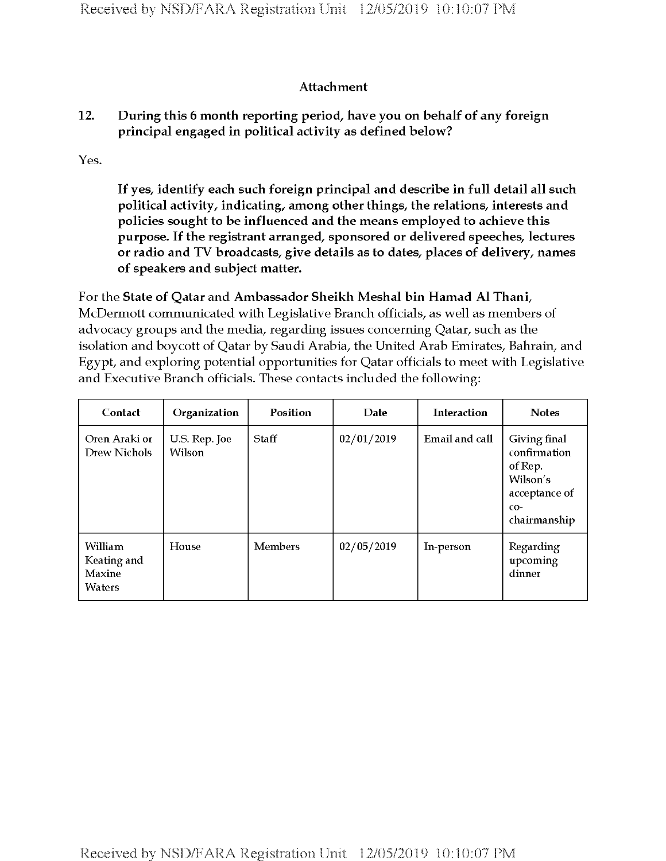### **Attachment**

## **12. During this 6 month reporting period, have you on behalf of any foreign principal engaged in political activity as defined below?**

Yes.

**If yes, identify each such foreign principal and describe in full detail all such political activity, indicating, among other things, the relations, interests and policies sought to be influenced and the means employed to achieve this purpose. If the registrant arranged, sponsored or delivered speeches, lectures or radio and TV broadcasts, give details as to dates, places of delivery, names of speakers and subject matter.**

For the **State of Qatar** and **Ambassador Sheikh Meshal bin Hamad A1 Thani,** McDermott communicated with Legislative Branch officials, as well as members of advocacy groups and the media, regarding issues concerning Qatar, such as the isolation and boycott of Qatar by Saudi Arabia, the United Arab Emirates, Bahrain, and Egypt, and exploring potential opportunities for Qatar officials to meet with Legislative and Executive Branch officials. These contacts included the following:

| Contact                                           | Organization            | Position       | Date       | <b>Interaction</b> | <b>Notes</b>                                                                                  |
|---------------------------------------------------|-------------------------|----------------|------------|--------------------|-----------------------------------------------------------------------------------------------|
| Oren Araki or<br><b>Drew Nichols</b>              | U.S. Rep. Joe<br>Wilson | Staff          | 02/01/2019 | Email and call     | Giving final<br>confirmation<br>of Rep.<br>Wilson's<br>acceptance of<br>$CO-$<br>chairmanship |
| William<br>Keating and<br>Maxine<br><b>Waters</b> | House                   | <b>Members</b> | 02/05/2019 | In-person          | Regarding<br>upcoming<br>dinner                                                               |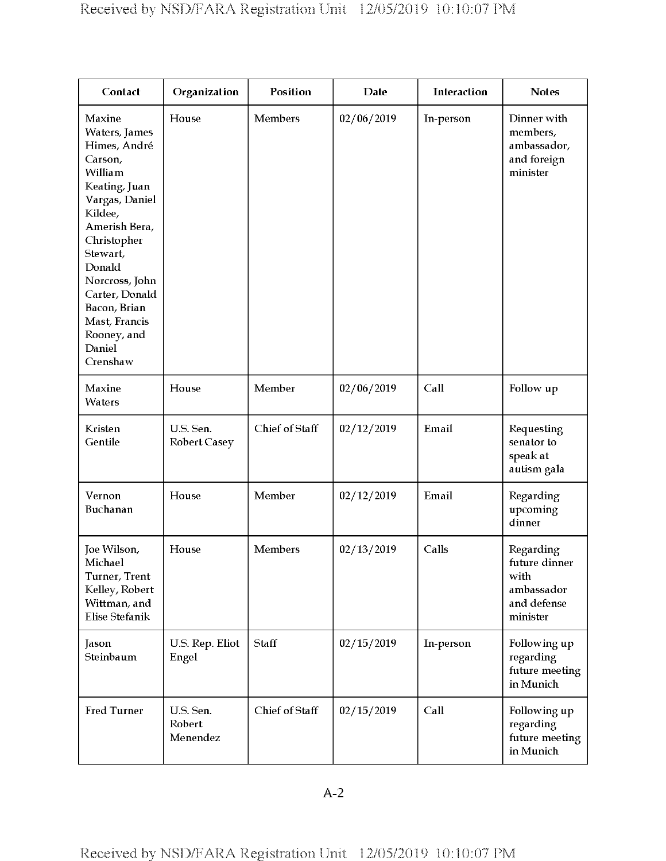| Contact                                                                                                                                                                                                                                                                     | Organization                     | Position       | <b>Date</b> | <b>Interaction</b> | <b>Notes</b>                                                                |
|-----------------------------------------------------------------------------------------------------------------------------------------------------------------------------------------------------------------------------------------------------------------------------|----------------------------------|----------------|-------------|--------------------|-----------------------------------------------------------------------------|
| Maxine<br>Waters, James<br>Himes, André<br>Carson,<br>William<br>Keating, Juan<br>Vargas, Daniel<br>Kildee,<br>Amerish Bera,<br>Christopher<br>Stewart,<br>Donald<br>Norcross, John<br>Carter, Donald<br>Bacon, Brian<br>Mast, Francis<br>Rooney, and<br>Daniel<br>Crenshaw | House                            | Members        | 02/06/2019  | In-person          | Dinner with<br>members,<br>ambassador,<br>and foreign<br>minister           |
| Maxine<br>Waters                                                                                                                                                                                                                                                            | House                            | Member         | 02/06/2019  | Call               | Follow up                                                                   |
| Kristen<br>Gentile                                                                                                                                                                                                                                                          | U.S. Sen.<br><b>Robert Casey</b> | Chief of Staff | 02/12/2019  | Email              | Requesting<br>senator to<br>speak at<br>autism gala                         |
| Vernon<br>Buchanan                                                                                                                                                                                                                                                          | House                            | Member         | 02/12/2019  | Email              | Regarding<br>upcoming<br>dinner                                             |
| Joe Wilson,<br>Michael<br>Turner, Trent<br>Kelley, Robert<br>Wittman, and<br><b>Elise Stefanik</b>                                                                                                                                                                          | House                            | Members        | 02/13/2019  | Calls              | Regarding<br>future dinner<br>with<br>ambassador<br>and defense<br>minister |
| Jason<br>Steinbaum                                                                                                                                                                                                                                                          | U.S. Rep. Eliot<br>Engel         | Staff          | 02/15/2019  | In-person          | Following up<br>regarding<br>future meeting<br>in Munich                    |
| <b>Fred Turner</b>                                                                                                                                                                                                                                                          | U.S. Sen.<br>Robert<br>Menendez  | Chief of Staff | 02/15/2019  | Call               | Following up<br>regarding<br>future meeting<br>in Munich                    |

A-2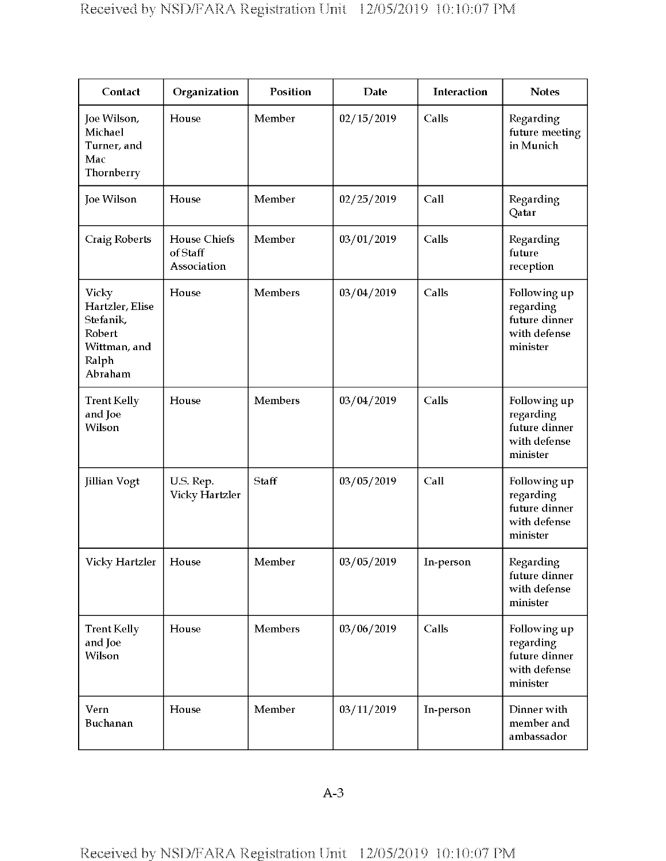| Contact                                                                                    | Organization                                   | Position       | <b>Date</b> | Interaction | <b>Notes</b>                                                           |
|--------------------------------------------------------------------------------------------|------------------------------------------------|----------------|-------------|-------------|------------------------------------------------------------------------|
| Joe Wilson,<br>Michael<br>Turner, and<br>Mac<br>Thornberry                                 | House                                          | Member         | 02/15/2019  | Calls       | Regarding<br>future meeting<br>in Munich                               |
| Joe Wilson                                                                                 | House                                          | Member         | 02/25/2019  | Call        | Regarding<br>Qatar                                                     |
| <b>Craig Roberts</b>                                                                       | <b>House Chiefs</b><br>of Staff<br>Association | Member         | 03/01/2019  | Calls       | Regarding<br>future<br>reception                                       |
| <b>Vicky</b><br>Hartzler, Elise<br>Stefanik,<br>Robert<br>Wittman, and<br>Ralph<br>Abraham | House                                          | <b>Members</b> | 03/04/2019  | Calls       | Following up<br>regarding<br>future dinner<br>with defense<br>minister |
| <b>Trent Kelly</b><br>and Joe<br>Wilson                                                    | House                                          | Members        | 03/04/2019  | Calls       | Following up<br>regarding<br>future dinner<br>with defense<br>minister |
| Jillian Vogt                                                                               | U.S. Rep.<br>Vicky Hartzler                    | Staff          | 03/05/2019  | Call        | Following up<br>regarding<br>future dinner<br>with defense<br>minister |
| Vicky Hartzler                                                                             | House                                          | Member         | 03/05/2019  | In-person   | Regarding<br>future dinner<br>with defense<br>minister                 |
| <b>Trent Kelly</b><br>and Joe<br>Wilson                                                    | House                                          | Members        | 03/06/2019  | Calls       | Following up<br>regarding<br>future dinner<br>with defense<br>minister |
| Vern<br>Buchanan                                                                           | House                                          | Member         | 03/11/2019  | In-person   | Dinner with<br>member and<br>ambassador                                |

A-3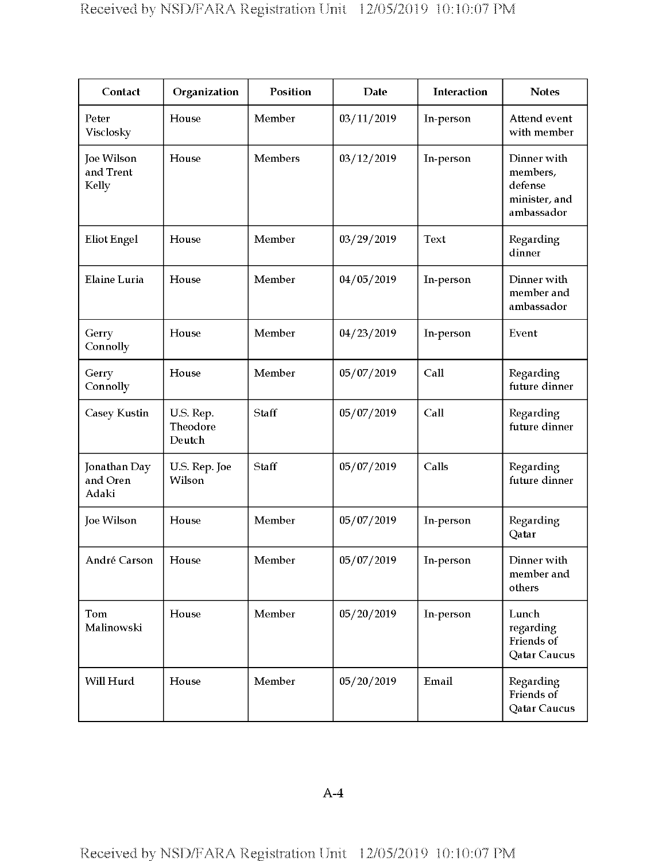| Contact                                 | Organization                    | Position       | <b>Date</b> | Interaction | <b>Notes</b>                                                      |
|-----------------------------------------|---------------------------------|----------------|-------------|-------------|-------------------------------------------------------------------|
| Peter<br>Visclosky                      | House                           | Member         | 03/11/2019  | In-person   | Attend event<br>with member                                       |
| <b>Joe Wilson</b><br>and Trent<br>Kelly | House                           | <b>Members</b> | 03/12/2019  | In-person   | Dinner with<br>members,<br>defense<br>minister, and<br>ambassador |
| <b>Eliot Engel</b>                      | House                           | Member         | 03/29/2019  | Text        | Regarding<br>dinner                                               |
| <b>Elaine Luria</b>                     | House                           | Member         | 04/05/2019  | In-person   | Dinner with<br>member and<br>ambassador                           |
| Gerry<br>Connolly                       | House                           | Member         | 04/23/2019  | In-person   | Event                                                             |
| Gerry<br>Connolly                       | House                           | Member         | 05/07/2019  | Call        | Regarding<br>future dinner                                        |
| Casey Kustin                            | U.S. Rep.<br>Theodore<br>Deutch | Staff          | 05/07/2019  | Call        | Regarding<br>future dinner                                        |
| Jonathan Day<br>and Oren<br>Adaki       | U.S. Rep. Joe<br>Wilson         | Staff          | 05/07/2019  | Calls       | Regarding<br>future dinner                                        |
| Joe Wilson                              | House                           | Member         | 05/07/2019  | In-person   | Regarding<br>Qatar                                                |
| André Carson                            | House                           | Member         | 05/07/2019  | In-person   | Dinner with<br>member and<br>others                               |
| Tom<br>Malinowski                       | House                           | Member         | 05/20/2019  | In-person   | Lunch<br>regarding<br>Friends of<br>Qatar Caucus                  |
| Will Hurd                               | House                           | Member         | 05/20/2019  | Email       | Regarding<br>Friends of<br>Qatar Caucus                           |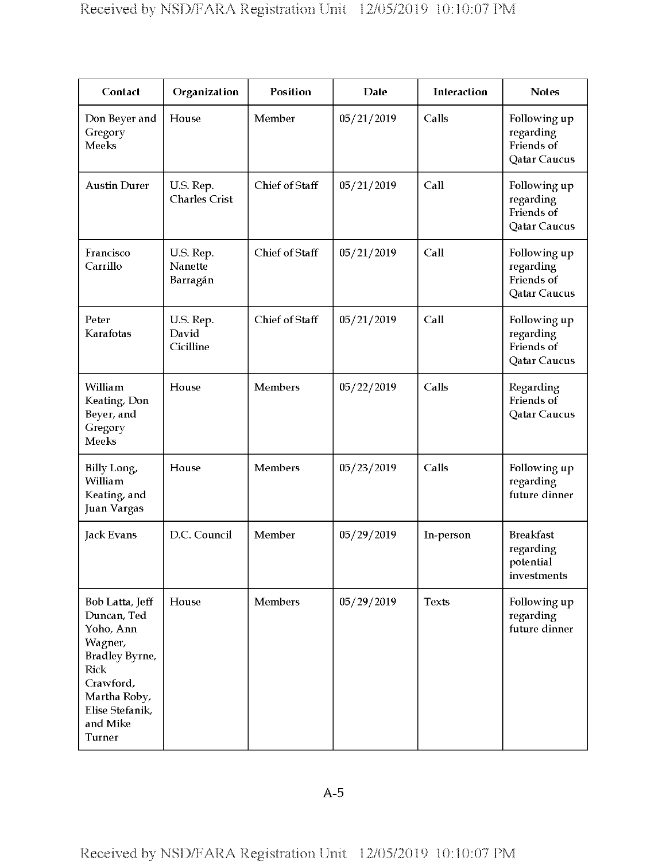| Contact                                                                                                                                                              | Organization                      | Position       | <b>Date</b> | <b>Interaction</b> | <b>Notes</b>                                                   |
|----------------------------------------------------------------------------------------------------------------------------------------------------------------------|-----------------------------------|----------------|-------------|--------------------|----------------------------------------------------------------|
| Don Beyer and<br>Gregory<br><b>Meeks</b>                                                                                                                             | House                             | Member         | 05/21/2019  | Calls              | Following up<br>regarding<br>Friends of<br>Qatar Caucus        |
| <b>Austin Durer</b>                                                                                                                                                  | U.S. Rep.<br><b>Charles Crist</b> | Chief of Staff | 05/21/2019  | Call               | Following up<br>regarding<br>Friends of<br>Qatar Caucus        |
| Francisco<br>Carrillo                                                                                                                                                | U.S. Rep.<br>Nanette<br>Barragán  | Chief of Staff | 05/21/2019  | Call               | Following up<br>regarding<br>Friends of<br>Qatar Caucus        |
| Peter<br>Karafotas                                                                                                                                                   | U.S. Rep.<br>David<br>Cicilline   | Chief of Staff | 05/21/2019  | Call               | Following up<br>regarding<br>Friends of<br><b>Qatar Caucus</b> |
| William<br>Keating, Don<br>Beyer, and<br>Gregory<br>Meeks                                                                                                            | House                             | <b>Members</b> | 05/22/2019  | Calls              | Regarding<br>Friends of<br>Qatar Caucus                        |
| Billy Long,<br>William<br>Keating, and<br><b>Juan Vargas</b>                                                                                                         | House                             | Members        | 05/23/2019  | Calls              | Following up<br>regarding<br>future dinner                     |
| <b>Jack Evans</b>                                                                                                                                                    | D.C. Council                      | Member         | 05/29/2019  | In-person          | <b>Breakfast</b><br>regarding<br>potential<br>investments      |
| Bob Latta, Jeff<br>Duncan, Ted<br>Yoho, Ann<br>Wagner,<br>Bradley Byrne,<br><b>Rick</b><br>Crawford,<br>Martha Roby,<br>Elise Stefanik,<br>and Mike<br><b>Turner</b> | House                             | <b>Members</b> | 05/29/2019  | Texts              | Following up<br>regarding<br>future dinner                     |

A-5